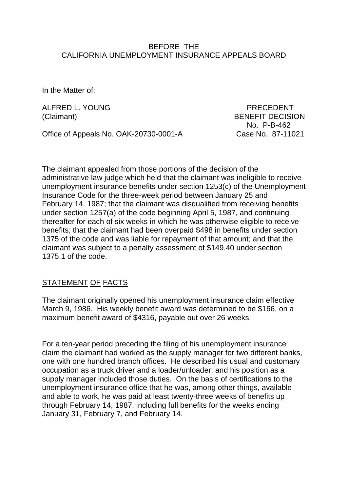#### BEFORE THE CALIFORNIA UNEMPLOYMENT INSURANCE APPEALS BOARD

In the Matter of:

ALFRED L. YOUNG PRECEDENT

Office of Appeals No. OAK-20730-0001-A Case No. 87-11021

(Claimant) BENEFIT DECISION No. P-B-462

The claimant appealed from those portions of the decision of the administrative law judge which held that the claimant was ineligible to receive unemployment insurance benefits under section 1253(c) of the Unemployment Insurance Code for the three-week period between January 25 and February 14, 1987; that the claimant was disqualified from receiving benefits under section 1257(a) of the code beginning April 5, 1987, and continuing thereafter for each of six weeks in which he was otherwise eligible to receive benefits; that the claimant had been overpaid \$498 in benefits under section 1375 of the code and was liable for repayment of that amount; and that the claimant was subject to a penalty assessment of \$149.40 under section 1375.1 of the code.

# STATEMENT OF FACTS

The claimant originally opened his unemployment insurance claim effective March 9, 1986. His weekly benefit award was determined to be \$166, on a maximum benefit award of \$4316, payable out over 26 weeks.

For a ten-year period preceding the filing of his unemployment insurance claim the claimant had worked as the supply manager for two different banks, one with one hundred branch offices. He described his usual and customary occupation as a truck driver and a loader/unloader, and his position as a supply manager included those duties. On the basis of certifications to the unemployment insurance office that he was, among other things, available and able to work, he was paid at least twenty-three weeks of benefits up through February 14, 1987, including full benefits for the weeks ending January 31, February 7, and February 14.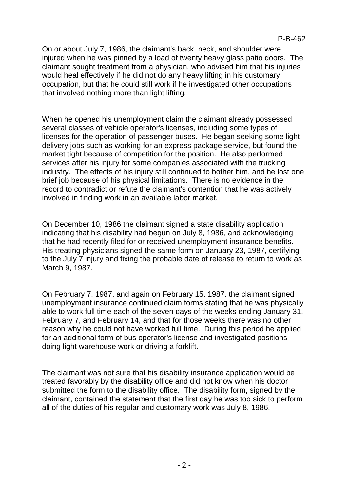On or about July 7, 1986, the claimant's back, neck, and shoulder were injured when he was pinned by a load of twenty heavy glass patio doors. The claimant sought treatment from a physician, who advised him that his injuries would heal effectively if he did not do any heavy lifting in his customary occupation, but that he could still work if he investigated other occupations that involved nothing more than light lifting.

When he opened his unemployment claim the claimant already possessed several classes of vehicle operator's licenses, including some types of licenses for the operation of passenger buses. He began seeking some light delivery jobs such as working for an express package service, but found the market tight because of competition for the position. He also performed services after his injury for some companies associated with the trucking industry. The effects of his injury still continued to bother him, and he lost one brief job because of his physical limitations. There is no evidence in the record to contradict or refute the claimant's contention that he was actively involved in finding work in an available labor market.

On December 10, 1986 the claimant signed a state disability application indicating that his disability had begun on July 8, 1986, and acknowledging that he had recently filed for or received unemployment insurance benefits. His treating physicians signed the same form on January 23, 1987, certifying to the July 7 injury and fixing the probable date of release to return to work as March 9, 1987.

On February 7, 1987, and again on February 15, 1987, the claimant signed unemployment insurance continued claim forms stating that he was physically able to work full time each of the seven days of the weeks ending January 31, February 7, and February 14, and that for those weeks there was no other reason why he could not have worked full time. During this period he applied for an additional form of bus operator's license and investigated positions doing light warehouse work or driving a forklift.

The claimant was not sure that his disability insurance application would be treated favorably by the disability office and did not know when his doctor submitted the form to the disability office. The disability form, signed by the claimant, contained the statement that the first day he was too sick to perform all of the duties of his regular and customary work was July 8, 1986.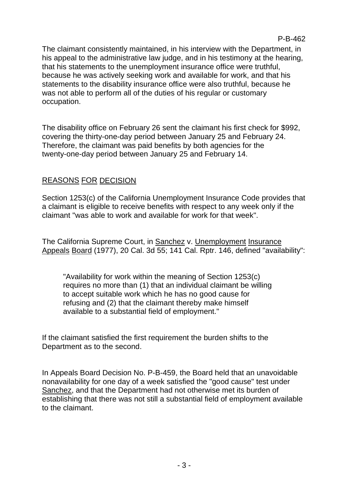The claimant consistently maintained, in his interview with the Department, in his appeal to the administrative law judge, and in his testimony at the hearing, that his statements to the unemployment insurance office were truthful, because he was actively seeking work and available for work, and that his statements to the disability insurance office were also truthful, because he was not able to perform all of the duties of his regular or customary occupation.

The disability office on February 26 sent the claimant his first check for \$992, covering the thirty-one-day period between January 25 and February 24. Therefore, the claimant was paid benefits by both agencies for the twenty-one-day period between January 25 and February 14.

# REASONS FOR DECISION

Section 1253(c) of the California Unemployment Insurance Code provides that a claimant is eligible to receive benefits with respect to any week only if the claimant "was able to work and available for work for that week".

The California Supreme Court, in Sanchez v. Unemployment Insurance Appeals Board (1977), 20 Cal. 3d 55; 141 Cal. Rptr. 146, defined "availability":

"Availability for work within the meaning of Section 1253(c) requires no more than (1) that an individual claimant be willing to accept suitable work which he has no good cause for refusing and (2) that the claimant thereby make himself available to a substantial field of employment."

If the claimant satisfied the first requirement the burden shifts to the Department as to the second.

In Appeals Board Decision No. P-B-459, the Board held that an unavoidable nonavailability for one day of a week satisfied the "good cause" test under Sanchez, and that the Department had not otherwise met its burden of establishing that there was not still a substantial field of employment available to the claimant.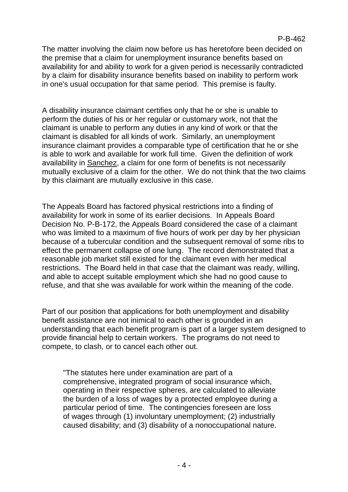#### P-B-462

The matter involving the claim now before us has heretofore been decided on the premise that a claim for unemployment insurance benefits based on availability for and ability to work for a given period is necessarily contradicted by a claim for disability insurance benefits based on inability to perform work in one's usual occupation for that same period. This premise is faulty.

A disability insurance claimant certifies only that he or she is unable to perform the duties of his or her regular or customary work, not that the claimant is unable to perform any duties in any kind of work or that the claimant is disabled for all kinds of work. Similarly, an unemployment insurance claimant provides a comparable type of certification that he or she is able to work and available for work full time. Given the definition of work availability in Sanchez, a claim for one form of benefits is not necessarily mutually exclusive of a claim for the other. We do not think that the two claims by this claimant are mutually exclusive in this case.

The Appeals Board has factored physical restrictions into a finding of availability for work in some of its earlier decisions. In Appeals Board Decision No. P-B-172, the Appeals Board considered the case of a claimant who was limited to a maximum of five hours of work per day by her physician because of a tubercular condition and the subsequent removal of some ribs to effect the permanent collapse of one lung. The record demonstrated that a reasonable job market still existed for the claimant even with her medical restrictions. The Board held in that case that the claimant was ready, willing, and able to accept suitable employment which she had no good cause to refuse, and that she was available for work within the meaning of the code.

Part of our position that applications for both unemployment and disability benefit assistance are not inimical to each other is grounded in an understanding that each benefit program is part of a larger system designed to provide financial help to certain workers. The programs do not need to compete, to clash, or to cancel each other out.

"The statutes here under examination are part of a comprehensive, integrated program of social insurance which, operating in their respective spheres, are calculated to alleviate the burden of a loss of wages by a protected employee during a particular period of time. The contingencies foreseen are loss of wages through (1) involuntary unemployment; (2) industrially caused disability; and (3) disability of a nonoccupational nature.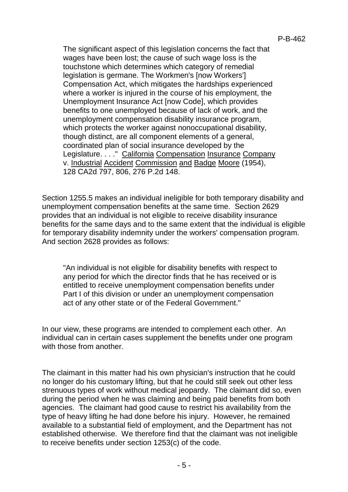The significant aspect of this legislation concerns the fact that wages have been lost; the cause of such wage loss is the touchstone which determines which category of remedial legislation is germane. The Workmen's [now Workers'] Compensation Act, which mitigates the hardships experienced where a worker is injured in the course of his employment, the Unemployment Insurance Act [now Code], which provides benefits to one unemployed because of lack of work, and the unemployment compensation disability insurance program, which protects the worker against nonoccupational disability, though distinct, are all component elements of a general, coordinated plan of social insurance developed by the Legislature. . . ." California Compensation Insurance Company v. Industrial Accident Commission and Badge Moore (1954), 128 CA2d 797, 806, 276 P.2d 148.

Section 1255.5 makes an individual ineligible for both temporary disability and unemployment compensation benefits at the same time. Section 2629 provides that an individual is not eligible to receive disability insurance benefits for the same days and to the same extent that the individual is eligible for temporary disability indemnity under the workers' compensation program. And section 2628 provides as follows:

"An individual is not eligible for disability benefits with respect to any period for which the director finds that he has received or is entitled to receive unemployment compensation benefits under Part I of this division or under an unemployment compensation act of any other state or of the Federal Government."

In our view, these programs are intended to complement each other. An individual can in certain cases supplement the benefits under one program with those from another.

The claimant in this matter had his own physician's instruction that he could no longer do his customary lifting, but that he could still seek out other less strenuous types of work without medical jeopardy. The claimant did so, even during the period when he was claiming and being paid benefits from both agencies. The claimant had good cause to restrict his availability from the type of heavy lifting he had done before his injury. However, he remained available to a substantial field of employment, and the Department has not established otherwise. We therefore find that the claimant was not ineligible to receive benefits under section 1253(c) of the code.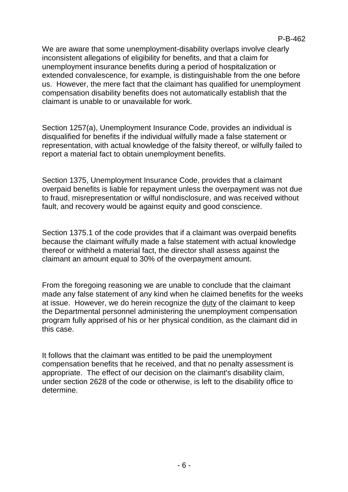We are aware that some unemployment-disability overlaps involve clearly inconsistent allegations of eligibility for benefits, and that a claim for unemployment insurance benefits during a period of hospitalization or extended convalescence, for example, is distinguishable from the one before us. However, the mere fact that the claimant has qualified for unemployment compensation disability benefits does not automatically establish that the claimant is unable to or unavailable for work.

Section 1257(a), Unemployment Insurance Code, provides an individual is disqualified for benefits if the individual wilfully made a false statement or representation, with actual knowledge of the falsity thereof, or wilfully failed to report a material fact to obtain unemployment benefits.

Section 1375, Unemployment Insurance Code, provides that a claimant overpaid benefits is liable for repayment unless the overpayment was not due to fraud, misrepresentation or wilful nondisclosure, and was received without fault, and recovery would be against equity and good conscience.

Section 1375.1 of the code provides that if a claimant was overpaid benefits because the claimant wilfully made a false statement with actual knowledge thereof or withheld a material fact, the director shall assess against the claimant an amount equal to 30% of the overpayment amount.

From the foregoing reasoning we are unable to conclude that the claimant made any false statement of any kind when he claimed benefits for the weeks at issue. However, we do herein recognize the duty of the claimant to keep the Departmental personnel administering the unemployment compensation program fully apprised of his or her physical condition, as the claimant did in this case.

It follows that the claimant was entitled to be paid the unemployment compensation benefits that he received, and that no penalty assessment is appropriate. The effect of our decision on the claimant's disability claim, under section 2628 of the code or otherwise, is left to the disability office to determine.